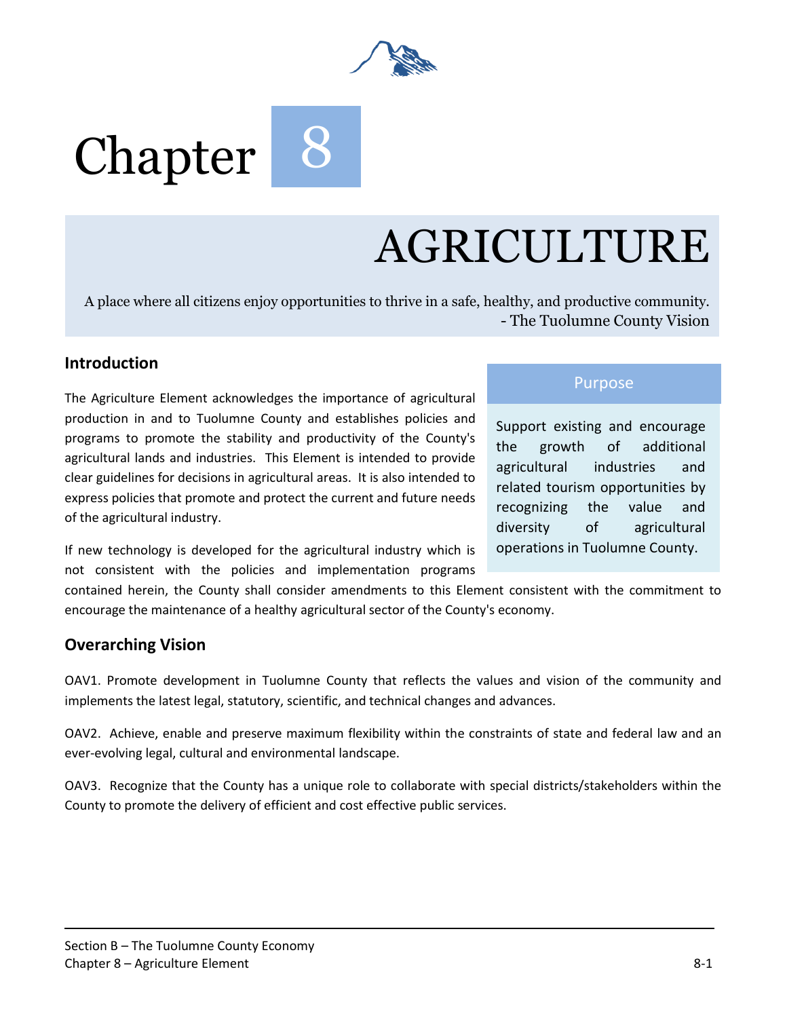

# Chapter

# AGRICULTURE

A place where all citizens enjoy opportunities to thrive in a safe, healthy, and productive community. - The Tuolumne County Vision

### **Introduction**

The Agriculture Element acknowledges the importance of agricultural production in and to Tuolumne County and establishes policies and programs to promote the stability and productivity of the County's agricultural lands and industries. This Element is intended to provide clear guidelines for decisions in agricultural areas. It is also intended to express policies that promote and protect the current and future needs of the agricultural industry.

Purpose

Support existing and encourage the growth of additional agricultural industries and related tourism opportunities by recognizing the value and diversity of agricultural operations in Tuolumne County.

If new technology is developed for the agricultural industry which is not consistent with the policies and implementation programs

contained herein, the County shall consider amendments to this Element consistent with the commitment to encourage the maintenance of a healthy agricultural sector of the County's economy.

### **Overarching Vision**

OAV1. Promote development in Tuolumne County that reflects the values and vision of the community and implements the latest legal, statutory, scientific, and technical changes and advances.

OAV2. Achieve, enable and preserve maximum flexibility within the constraints of state and federal law and an ever-evolving legal, cultural and environmental landscape.

OAV3. Recognize that the County has a unique role to collaborate with special districts/stakeholders within the County to promote the delivery of efficient and cost effective public services.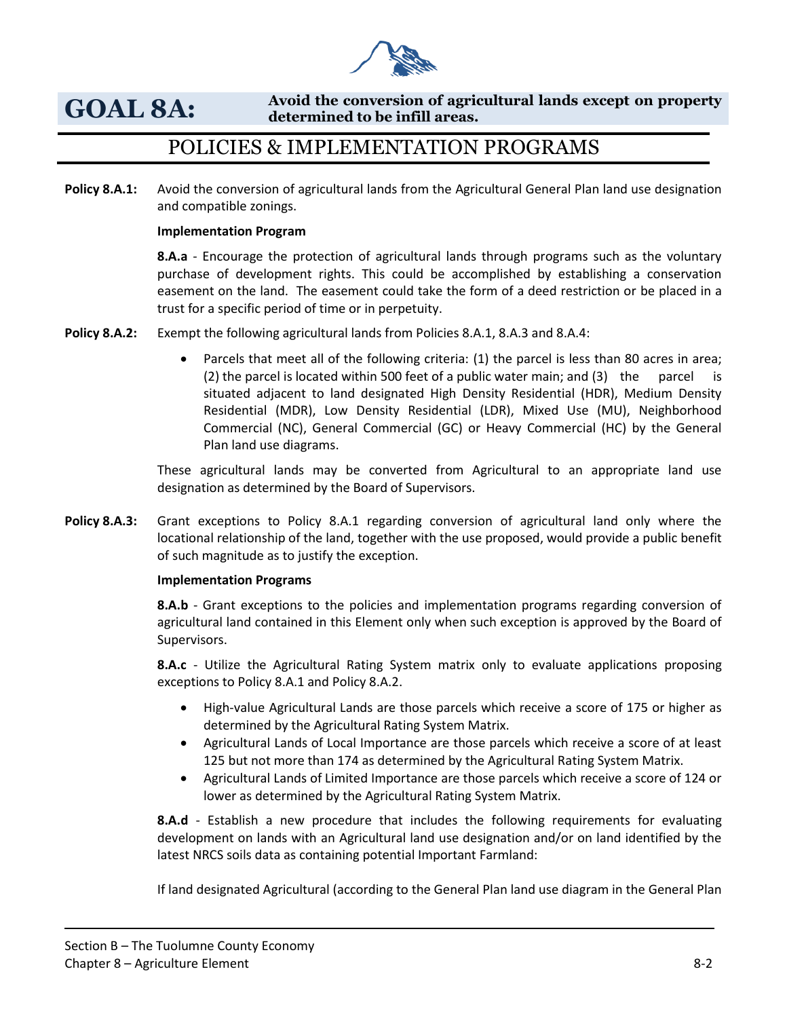

# **GOAL 8A:**

**Avoid the conversion of agricultural lands except on property determined to be infill areas.** 

# POLICIES & IMPLEMENTATION PROGRAMS

**Policy 8.A.1:** Avoid the conversion of agricultural lands from the Agricultural General Plan land use designation and compatible zonings.

#### **Implementation Program**

**8.A.a** - Encourage the protection of agricultural lands through programs such as the voluntary purchase of development rights. This could be accomplished by establishing a conservation easement on the land. The easement could take the form of a deed restriction or be placed in a trust for a specific period of time or in perpetuity.

- **Policy 8.A.2:** Exempt the following agricultural lands from Policies 8.A.1, 8.A.3 and 8.A.4:
	- Parcels that meet all of the following criteria: (1) the parcel is less than 80 acres in area;  $(2)$  the parcel is located within 500 feet of a public water main; and  $(3)$  the parcel situated adjacent to land designated High Density Residential (HDR), Medium Density Residential (MDR), Low Density Residential (LDR), Mixed Use (MU), Neighborhood Commercial (NC), General Commercial (GC) or Heavy Commercial (HC) by the General Plan land use diagrams.

These agricultural lands may be converted from Agricultural to an appropriate land use designation as determined by the Board of Supervisors.

**Policy 8.A.3:** Grant exceptions to Policy 8.A.1 regarding conversion of agricultural land only where the locational relationship of the land, together with the use proposed, would provide a public benefit of such magnitude as to justify the exception.

#### **Implementation Programs**

**8.A.b** - Grant exceptions to the policies and implementation programs regarding conversion of agricultural land contained in this Element only when such exception is approved by the Board of Supervisors.

**8.A.c** - Utilize the Agricultural Rating System matrix only to evaluate applications proposing exceptions to Policy 8.A.1 and Policy 8.A.2.

- High-value Agricultural Lands are those parcels which receive a score of 175 or higher as determined by the Agricultural Rating System Matrix.
- Agricultural Lands of Local Importance are those parcels which receive a score of at least 125 but not more than 174 as determined by the Agricultural Rating System Matrix.
- Agricultural Lands of Limited Importance are those parcels which receive a score of 124 or lower as determined by the Agricultural Rating System Matrix.

**8.A.d** - Establish a new procedure that includes the following requirements for evaluating development on lands with an Agricultural land use designation and/or on land identified by the latest NRCS soils data as containing potential Important Farmland:

If land designated Agricultural (according to the General Plan land use diagram in the General Plan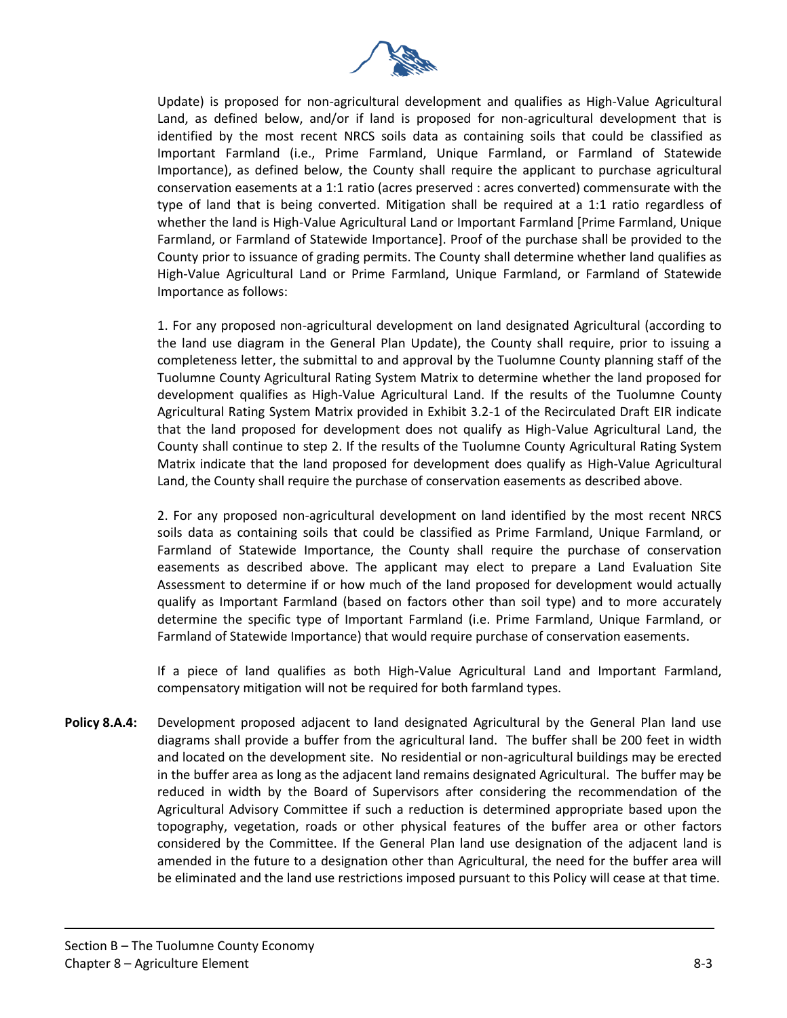

Update) is proposed for non-agricultural development and qualifies as High-Value Agricultural Land, as defined below, and/or if land is proposed for non-agricultural development that is identified by the most recent NRCS soils data as containing soils that could be classified as Important Farmland (i.e., Prime Farmland, Unique Farmland, or Farmland of Statewide Importance), as defined below, the County shall require the applicant to purchase agricultural conservation easements at a 1:1 ratio (acres preserved : acres converted) commensurate with the type of land that is being converted. Mitigation shall be required at a 1:1 ratio regardless of whether the land is High-Value Agricultural Land or Important Farmland [Prime Farmland, Unique Farmland, or Farmland of Statewide Importance]. Proof of the purchase shall be provided to the County prior to issuance of grading permits. The County shall determine whether land qualifies as High-Value Agricultural Land or Prime Farmland, Unique Farmland, or Farmland of Statewide Importance as follows:

1. For any proposed non-agricultural development on land designated Agricultural (according to the land use diagram in the General Plan Update), the County shall require, prior to issuing a completeness letter, the submittal to and approval by the Tuolumne County planning staff of the Tuolumne County Agricultural Rating System Matrix to determine whether the land proposed for development qualifies as High-Value Agricultural Land. If the results of the Tuolumne County Agricultural Rating System Matrix provided in Exhibit 3.2-1 of the Recirculated Draft EIR indicate that the land proposed for development does not qualify as High-Value Agricultural Land, the County shall continue to step 2. If the results of the Tuolumne County Agricultural Rating System Matrix indicate that the land proposed for development does qualify as High-Value Agricultural Land, the County shall require the purchase of conservation easements as described above.

2. For any proposed non-agricultural development on land identified by the most recent NRCS soils data as containing soils that could be classified as Prime Farmland, Unique Farmland, or Farmland of Statewide Importance, the County shall require the purchase of conservation easements as described above. The applicant may elect to prepare a Land Evaluation Site Assessment to determine if or how much of the land proposed for development would actually qualify as Important Farmland (based on factors other than soil type) and to more accurately determine the specific type of Important Farmland (i.e. Prime Farmland, Unique Farmland, or Farmland of Statewide Importance) that would require purchase of conservation easements.

If a piece of land qualifies as both High-Value Agricultural Land and Important Farmland, compensatory mitigation will not be required for both farmland types.

**Policy 8.A.4:** Development proposed adjacent to land designated Agricultural by the General Plan land use diagrams shall provide a buffer from the agricultural land. The buffer shall be 200 feet in width and located on the development site. No residential or non-agricultural buildings may be erected in the buffer area as long as the adjacent land remains designated Agricultural. The buffer may be reduced in width by the Board of Supervisors after considering the recommendation of the Agricultural Advisory Committee if such a reduction is determined appropriate based upon the topography, vegetation, roads or other physical features of the buffer area or other factors considered by the Committee. If the General Plan land use designation of the adjacent land is amended in the future to a designation other than Agricultural, the need for the buffer area will be eliminated and the land use restrictions imposed pursuant to this Policy will cease at that time.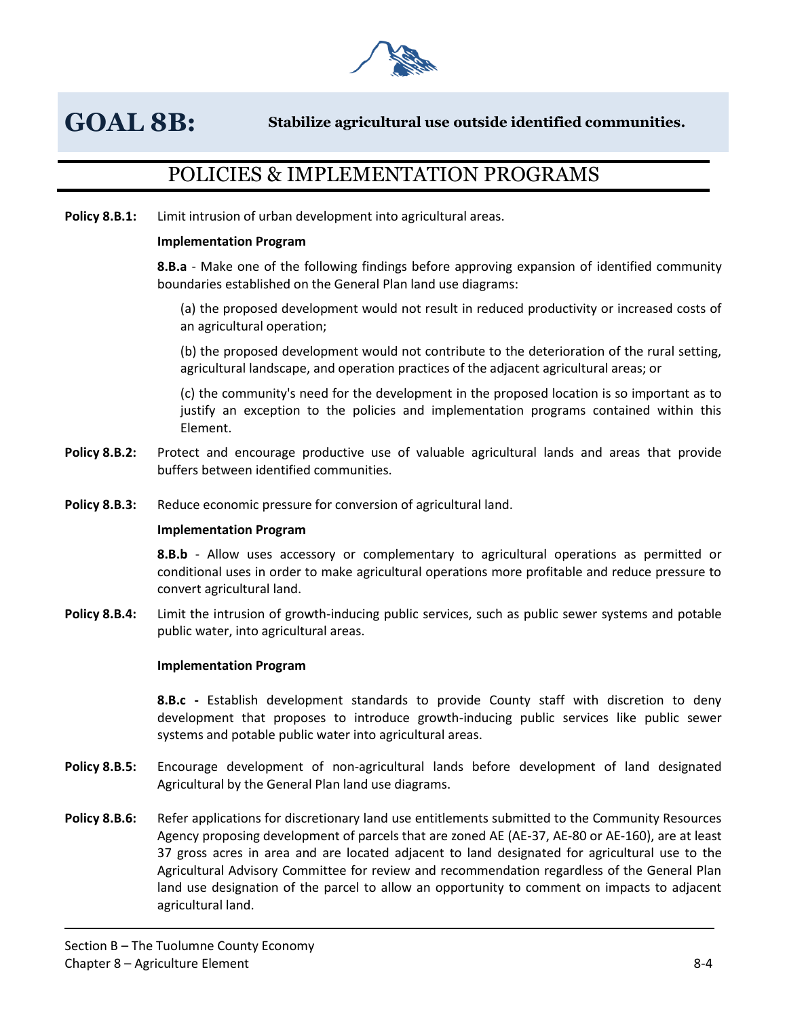

# **GOAL 8B: Stabilize agricultural use outside identified communities.**

# POLICIES & IMPLEMENTATION PROGRAMS

**Policy 8.B.1:** Limit intrusion of urban development into agricultural areas.

#### **Implementation Program**

**8.B.a** - Make one of the following findings before approving expansion of identified community boundaries established on the General Plan land use diagrams:

(a) the proposed development would not result in reduced productivity or increased costs of an agricultural operation;

(b) the proposed development would not contribute to the deterioration of the rural setting, agricultural landscape, and operation practices of the adjacent agricultural areas; or

(c) the community's need for the development in the proposed location is so important as to justify an exception to the policies and implementation programs contained within this Element.

- **Policy 8.B.2:** Protect and encourage productive use of valuable agricultural lands and areas that provide buffers between identified communities.
- **Policy 8.B.3:** Reduce economic pressure for conversion of agricultural land.

#### **Implementation Program**

**8.B.b** - Allow uses accessory or complementary to agricultural operations as permitted or conditional uses in order to make agricultural operations more profitable and reduce pressure to convert agricultural land.

**Policy 8.B.4:** Limit the intrusion of growth-inducing public services, such as public sewer systems and potable public water, into agricultural areas.

#### **Implementation Program**

**8.B.c -** Establish development standards to provide County staff with discretion to deny development that proposes to introduce growth-inducing public services like public sewer systems and potable public water into agricultural areas.

- **Policy 8.B.5:** Encourage development of non-agricultural lands before development of land designated Agricultural by the General Plan land use diagrams.
- **Policy 8.B.6:** Refer applications for discretionary land use entitlements submitted to the Community Resources Agency proposing development of parcels that are zoned AE (AE-37, AE-80 or AE-160), are at least 37 gross acres in area and are located adjacent to land designated for agricultural use to the Agricultural Advisory Committee for review and recommendation regardless of the General Plan land use designation of the parcel to allow an opportunity to comment on impacts to adjacent agricultural land.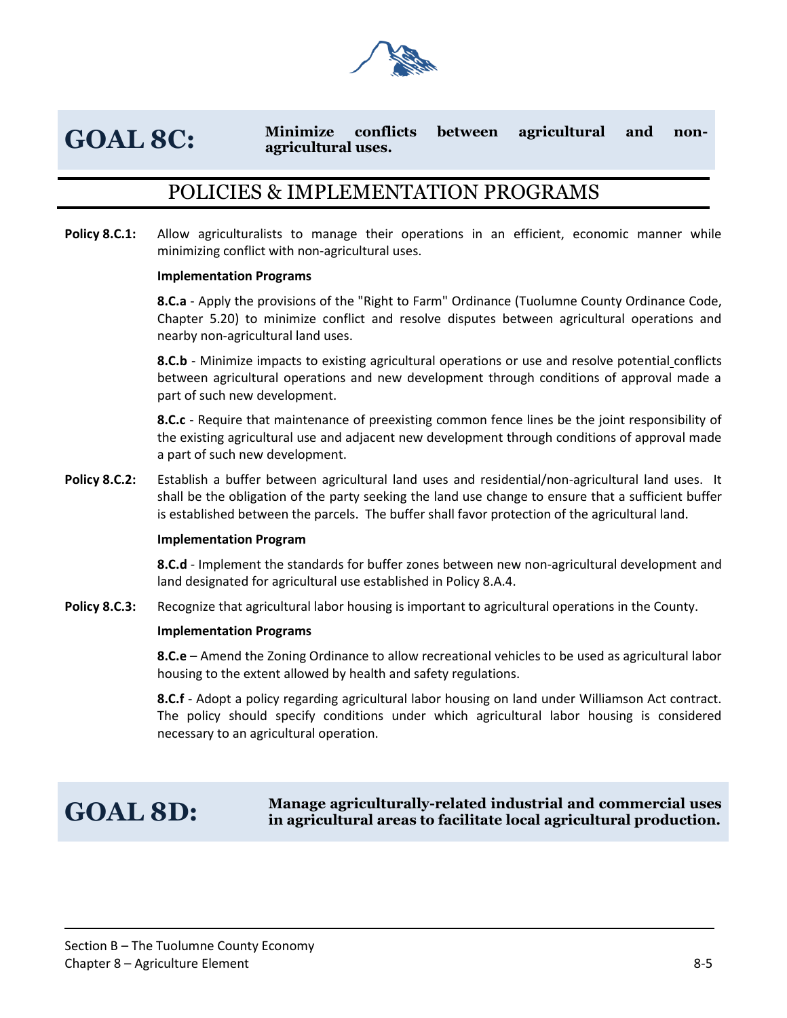

#### **GOAL 8C: Minimize conflicts between agricultural and nonagricultural uses.**

# POLICIES & IMPLEMENTATION PROGRAMS

Policy 8.C.1: Allow agriculturalists to manage their operations in an efficient, economic manner while minimizing conflict with non-agricultural uses.

#### **Implementation Programs**

**8.C.a** - Apply the provisions of the "Right to Farm" Ordinance (Tuolumne County Ordinance Code, Chapter 5.20) to minimize conflict and resolve disputes between agricultural operations and nearby non-agricultural land uses.

**8.C.b** - Minimize impacts to existing agricultural operations or use and resolve potential conflicts between agricultural operations and new development through conditions of approval made a part of such new development.

**8.C.c** - Require that maintenance of preexisting common fence lines be the joint responsibility of the existing agricultural use and adjacent new development through conditions of approval made a part of such new development.

**Policy 8.C.2:** Establish a buffer between agricultural land uses and residential/non-agricultural land uses. It shall be the obligation of the party seeking the land use change to ensure that a sufficient buffer is established between the parcels. The buffer shall favor protection of the agricultural land.

#### **Implementation Program**

**8.C.d** - Implement the standards for buffer zones between new non-agricultural development and land designated for agricultural use established in Policy 8.A.4.

**Policy 8.C.3:** Recognize that agricultural labor housing is important to agricultural operations in the County.

#### **Implementation Programs**

**8.C.e** – Amend the Zoning Ordinance to allow recreational vehicles to be used as agricultural labor housing to the extent allowed by health and safety regulations.

**8.C.f** - Adopt a policy regarding agricultural labor housing on land under Williamson Act contract. The policy should specify conditions under which agricultural labor housing is considered necessary to an agricultural operation.

GOAL 8D: Manage agriculturally-related industrial and commercial uses in agricultural areas to facilitate local agricultural production.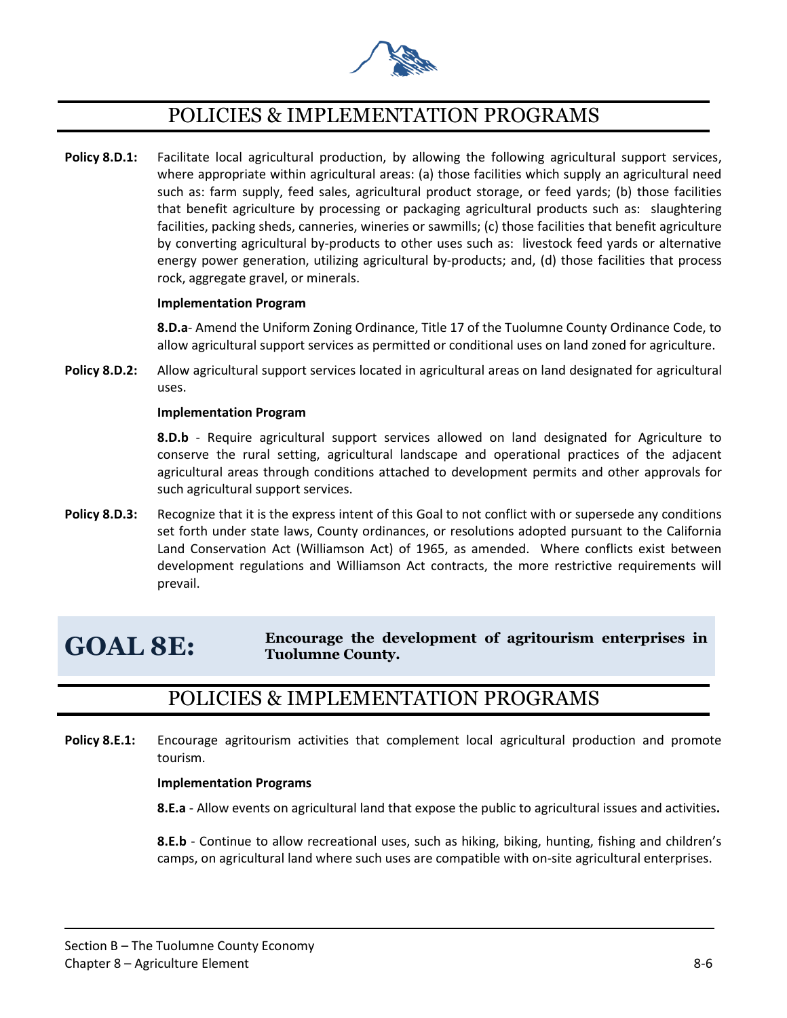

## POLICIES & IMPLEMENTATION PROGRAMS

**Policy 8.D.1:** Facilitate local agricultural production, by allowing the following agricultural support services, where appropriate within agricultural areas: (a) those facilities which supply an agricultural need such as: farm supply, feed sales, agricultural product storage, or feed yards; (b) those facilities that benefit agriculture by processing or packaging agricultural products such as: slaughtering facilities, packing sheds, canneries, wineries or sawmills; (c) those facilities that benefit agriculture by converting agricultural by-products to other uses such as: livestock feed yards or alternative energy power generation, utilizing agricultural by-products; and, (d) those facilities that process rock, aggregate gravel, or minerals.

#### **Implementation Program**

**8.D.a**- Amend the Uniform Zoning Ordinance, Title 17 of the Tuolumne County Ordinance Code, to allow agricultural support services as permitted or conditional uses on land zoned for agriculture.

**Policy 8.D.2:** Allow agricultural support services located in agricultural areas on land designated for agricultural uses.

#### **Implementation Program**

**8.D.b** - Require agricultural support services allowed on land designated for Agriculture to conserve the rural setting, agricultural landscape and operational practices of the adjacent agricultural areas through conditions attached to development permits and other approvals for such agricultural support services.

**Policy 8.D.3:** Recognize that it is the express intent of this Goal to not conflict with or supersede any conditions set forth under state laws, County ordinances, or resolutions adopted pursuant to the California Land Conservation Act (Williamson Act) of 1965, as amended. Where conflicts exist between development regulations and Williamson Act contracts, the more restrictive requirements will prevail.

#### **GOAL 8E: Encourage the development of agritourism enterprises in Tuolumne County.**

## POLICIES & IMPLEMENTATION PROGRAMS

**Policy 8.E.1:** Encourage agritourism activities that complement local agricultural production and promote tourism.

#### **Implementation Programs**

**8.E.a** - Allow events on agricultural land that expose the public to agricultural issues and activities**.**

**8.E.b** - Continue to allow recreational uses, such as hiking, biking, hunting, fishing and children's camps, on agricultural land where such uses are compatible with on-site agricultural enterprises.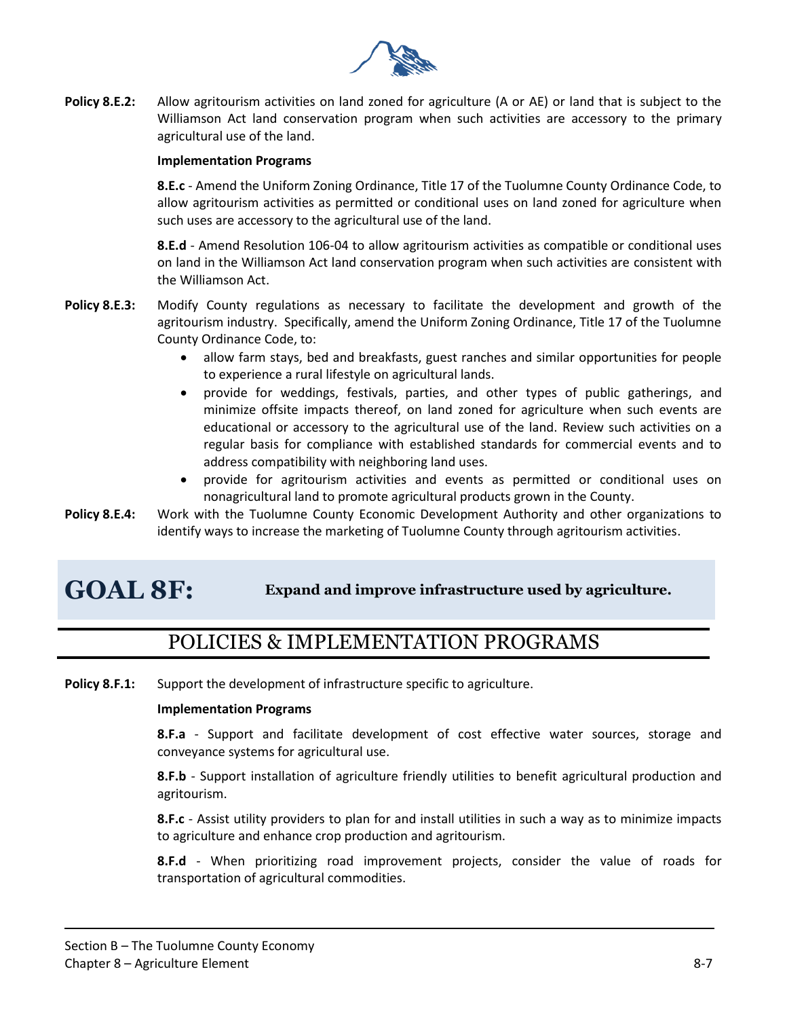

**Policy 8.E.2:** Allow agritourism activities on land zoned for agriculture (A or AE) or land that is subject to the Williamson Act land conservation program when such activities are accessory to the primary agricultural use of the land.

#### **Implementation Programs**

**8.E.c** - Amend the Uniform Zoning Ordinance, Title 17 of the Tuolumne County Ordinance Code, to allow agritourism activities as permitted or conditional uses on land zoned for agriculture when such uses are accessory to the agricultural use of the land.

**8.E.d** - Amend Resolution 106-04 to allow agritourism activities as compatible or conditional uses on land in the Williamson Act land conservation program when such activities are consistent with the Williamson Act.

- **Policy 8.E.3:** Modify County regulations as necessary to facilitate the development and growth of the agritourism industry. Specifically, amend the Uniform Zoning Ordinance, Title 17 of the Tuolumne County Ordinance Code, to:
	- allow farm stays, bed and breakfasts, guest ranches and similar opportunities for people to experience a rural lifestyle on agricultural lands.
	- provide for weddings, festivals, parties, and other types of public gatherings, and minimize offsite impacts thereof, on land zoned for agriculture when such events are educational or accessory to the agricultural use of the land. Review such activities on a regular basis for compliance with established standards for commercial events and to address compatibility with neighboring land uses.
	- provide for agritourism activities and events as permitted or conditional uses on nonagricultural land to promote agricultural products grown in the County.
- **Policy 8.E.4:** Work with the Tuolumne County Economic Development Authority and other organizations to identify ways to increase the marketing of Tuolumne County through agritourism activities.

# **GOAL 8F: Expand and improve infrastructure used by agriculture.**

# POLICIES & IMPLEMENTATION PROGRAMS

Policy 8.F.1: Support the development of infrastructure specific to agriculture.

#### **Implementation Programs**

**8.F.a** - Support and facilitate development of cost effective water sources, storage and conveyance systems for agricultural use.

**8.F.b** - Support installation of agriculture friendly utilities to benefit agricultural production and agritourism.

**8.F.c** - Assist utility providers to plan for and install utilities in such a way as to minimize impacts to agriculture and enhance crop production and agritourism.

**8.F.d** - When prioritizing road improvement projects, consider the value of roads for transportation of agricultural commodities.